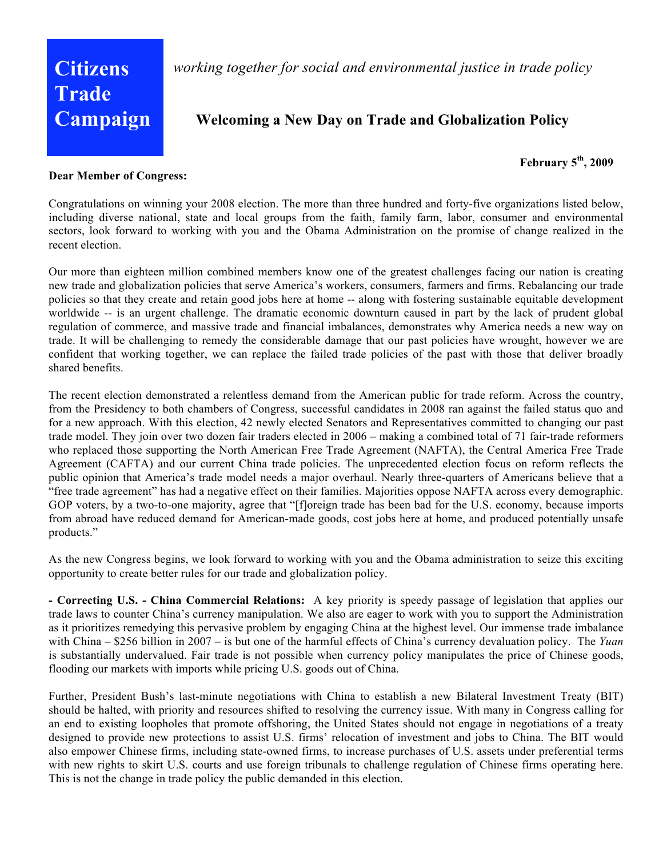## **Citizens Trade Campaign**

*working together for social and environmental justice in trade policy*

## **Welcoming a New Day on Trade and Globalization Policy**

**February 5th , 2009**

## **Dear Member of Congress:**

Congratulations on winning your 2008 election. The more than three hundred and forty-five organizations listed below, including diverse national, state and local groups from the faith, family farm, labor, consumer and environmental sectors, look forward to working with you and the Obama Administration on the promise of change realized in the recent election.

Our more than eighteen million combined members know one of the greatest challenges facing our nation is creating new trade and globalization policies that serve America's workers, consumers, farmers and firms. Rebalancing our trade policies so that they create and retain good jobs here at home -- along with fostering sustainable equitable development worldwide -- is an urgent challenge. The dramatic economic downturn caused in part by the lack of prudent global regulation of commerce, and massive trade and financial imbalances, demonstrates why America needs a new way on trade. It will be challenging to remedy the considerable damage that our past policies have wrought, however we are confident that working together, we can replace the failed trade policies of the past with those that deliver broadly shared benefits.

The recent election demonstrated a relentless demand from the American public for trade reform. Across the country, from the Presidency to both chambers of Congress, successful candidates in 2008 ran against the failed status quo and for a new approach. With this election, 42 newly elected Senators and Representatives committed to changing our past trade model. They join over two dozen fair traders elected in 2006 – making a combined total of 71 fair-trade reformers who replaced those supporting the North American Free Trade Agreement (NAFTA), the Central America Free Trade Agreement (CAFTA) and our current China trade policies. The unprecedented election focus on reform reflects the public opinion that America's trade model needs a major overhaul. Nearly three-quarters of Americans believe that a "free trade agreement" has had a negative effect on their families. Majorities oppose NAFTA across every demographic. GOP voters, by a two-to-one majority, agree that "[f]oreign trade has been bad for the U.S. economy, because imports from abroad have reduced demand for American-made goods, cost jobs here at home, and produced potentially unsafe products."

As the new Congress begins, we look forward to working with you and the Obama administration to seize this exciting opportunity to create better rules for our trade and globalization policy.

**- Correcting U.S. - China Commercial Relations:** A key priority is speedy passage of legislation that applies our trade laws to counter China's currency manipulation. We also are eager to work with you to support the Administration as it prioritizes remedying this pervasive problem by engaging China at the highest level. Our immense trade imbalance with China – \$256 billion in 2007 – is but one of the harmful effects of China's currency devaluation policy. The *Yuan* is substantially undervalued. Fair trade is not possible when currency policy manipulates the price of Chinese goods, flooding our markets with imports while pricing U.S. goods out of China.

Further, President Bush's last-minute negotiations with China to establish a new Bilateral Investment Treaty (BIT) should be halted, with priority and resources shifted to resolving the currency issue. With many in Congress calling for an end to existing loopholes that promote offshoring, the United States should not engage in negotiations of a treaty designed to provide new protections to assist U.S. firms' relocation of investment and jobs to China. The BIT would also empower Chinese firms, including state-owned firms, to increase purchases of U.S. assets under preferential terms with new rights to skirt U.S. courts and use foreign tribunals to challenge regulation of Chinese firms operating here. This is not the change in trade policy the public demanded in this election.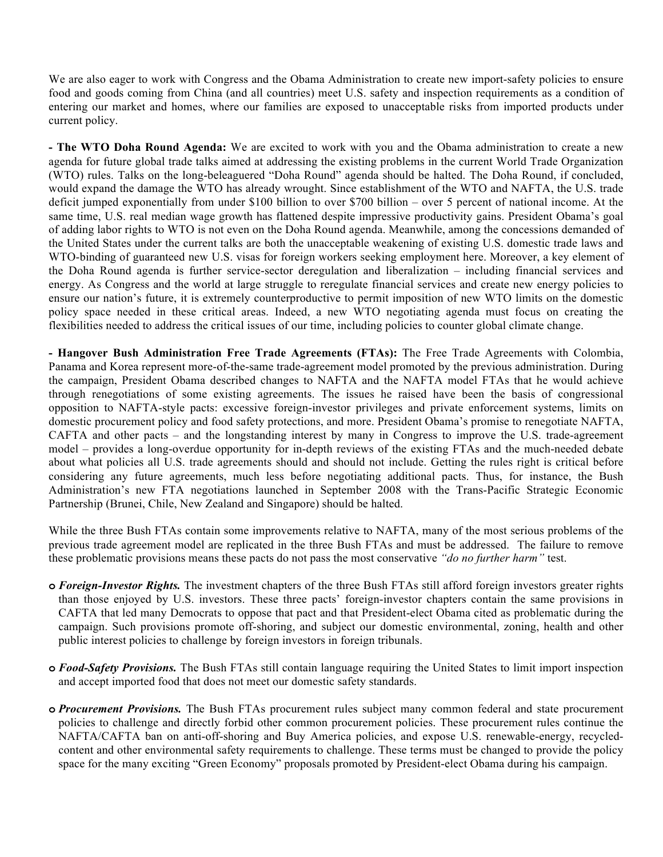We are also eager to work with Congress and the Obama Administration to create new import-safety policies to ensure food and goods coming from China (and all countries) meet U.S. safety and inspection requirements as a condition of entering our market and homes, where our families are exposed to unacceptable risks from imported products under current policy.

**- The WTO Doha Round Agenda:** We are excited to work with you and the Obama administration to create a new agenda for future global trade talks aimed at addressing the existing problems in the current World Trade Organization (WTO) rules. Talks on the long-beleaguered "Doha Round" agenda should be halted. The Doha Round, if concluded, would expand the damage the WTO has already wrought. Since establishment of the WTO and NAFTA, the U.S. trade deficit jumped exponentially from under \$100 billion to over \$700 billion – over 5 percent of national income. At the same time, U.S. real median wage growth has flattened despite impressive productivity gains. President Obama's goal of adding labor rights to WTO is not even on the Doha Round agenda. Meanwhile, among the concessions demanded of the United States under the current talks are both the unacceptable weakening of existing U.S. domestic trade laws and WTO-binding of guaranteed new U.S. visas for foreign workers seeking employment here. Moreover, a key element of the Doha Round agenda is further service-sector deregulation and liberalization – including financial services and energy. As Congress and the world at large struggle to reregulate financial services and create new energy policies to ensure our nation's future, it is extremely counterproductive to permit imposition of new WTO limits on the domestic policy space needed in these critical areas. Indeed, a new WTO negotiating agenda must focus on creating the flexibilities needed to address the critical issues of our time, including policies to counter global climate change.

**- Hangover Bush Administration Free Trade Agreements (FTAs):** The Free Trade Agreements with Colombia, Panama and Korea represent more-of-the-same trade-agreement model promoted by the previous administration. During the campaign, President Obama described changes to NAFTA and the NAFTA model FTAs that he would achieve through renegotiations of some existing agreements. The issues he raised have been the basis of congressional opposition to NAFTA-style pacts: excessive foreign-investor privileges and private enforcement systems, limits on domestic procurement policy and food safety protections, and more. President Obama's promise to renegotiate NAFTA, CAFTA and other pacts – and the longstanding interest by many in Congress to improve the U.S. trade-agreement model – provides a long-overdue opportunity for in-depth reviews of the existing FTAs and the much-needed debate about what policies all U.S. trade agreements should and should not include. Getting the rules right is critical before considering any future agreements, much less before negotiating additional pacts. Thus, for instance, the Bush Administration's new FTA negotiations launched in September 2008 with the Trans-Pacific Strategic Economic Partnership (Brunei, Chile, New Zealand and Singapore) should be halted.

While the three Bush FTAs contain some improvements relative to NAFTA, many of the most serious problems of the previous trade agreement model are replicated in the three Bush FTAs and must be addressed. The failure to remove these problematic provisions means these pacts do not pass the most conservative *"do no further harm"* test.

- **o** *Foreign-Investor Rights.* The investment chapters of the three Bush FTAs still afford foreign investors greater rights than those enjoyed by U.S. investors. These three pacts' foreign-investor chapters contain the same provisions in CAFTA that led many Democrats to oppose that pact and that President-elect Obama cited as problematic during the campaign. Such provisions promote off-shoring, and subject our domestic environmental, zoning, health and other public interest policies to challenge by foreign investors in foreign tribunals.
- **o** *Food-Safety Provisions.* The Bush FTAs still contain language requiring the United States to limit import inspection and accept imported food that does not meet our domestic safety standards.
- **o** *Procurement Provisions.* The Bush FTAs procurement rules subject many common federal and state procurement policies to challenge and directly forbid other common procurement policies. These procurement rules continue the NAFTA/CAFTA ban on anti-off-shoring and Buy America policies, and expose U.S. renewable-energy, recycledcontent and other environmental safety requirements to challenge. These terms must be changed to provide the policy space for the many exciting "Green Economy" proposals promoted by President-elect Obama during his campaign.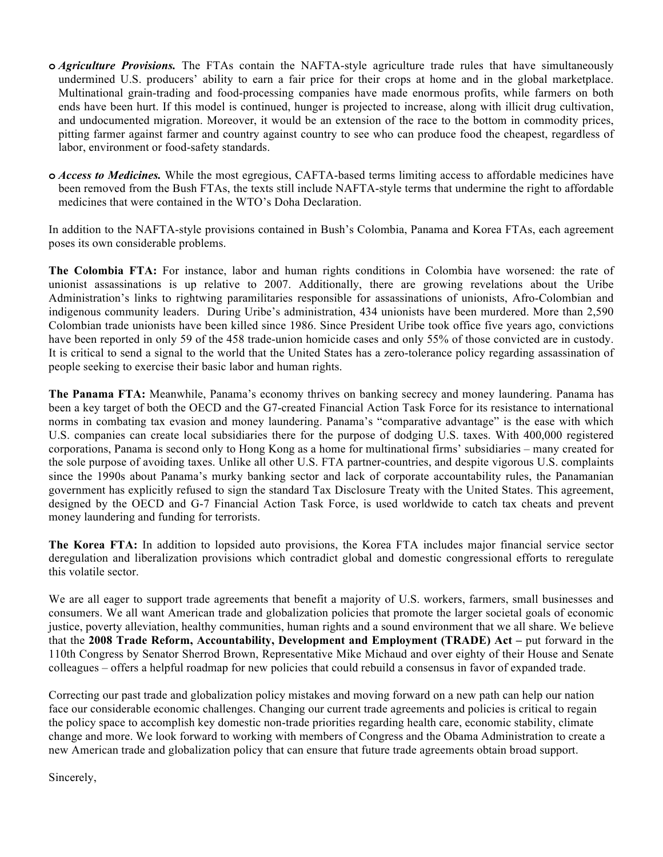- **o** *Agriculture Provisions.* The FTAs contain the NAFTA-style agriculture trade rules that have simultaneously undermined U.S. producers' ability to earn a fair price for their crops at home and in the global marketplace. Multinational grain-trading and food-processing companies have made enormous profits, while farmers on both ends have been hurt. If this model is continued, hunger is projected to increase, along with illicit drug cultivation, and undocumented migration. Moreover, it would be an extension of the race to the bottom in commodity prices, pitting farmer against farmer and country against country to see who can produce food the cheapest, regardless of labor, environment or food-safety standards.
- **o** *Access to Medicines.* While the most egregious, CAFTA-based terms limiting access to affordable medicines have been removed from the Bush FTAs, the texts still include NAFTA-style terms that undermine the right to affordable medicines that were contained in the WTO's Doha Declaration.

In addition to the NAFTA-style provisions contained in Bush's Colombia, Panama and Korea FTAs, each agreement poses its own considerable problems.

**The Colombia FTA:** For instance, labor and human rights conditions in Colombia have worsened: the rate of unionist assassinations is up relative to 2007. Additionally, there are growing revelations about the Uribe Administration's links to rightwing paramilitaries responsible for assassinations of unionists, Afro-Colombian and indigenous community leaders. During Uribe's administration, 434 unionists have been murdered. More than 2,590 Colombian trade unionists have been killed since 1986. Since President Uribe took office five years ago, convictions have been reported in only 59 of the 458 trade-union homicide cases and only 55% of those convicted are in custody. It is critical to send a signal to the world that the United States has a zero-tolerance policy regarding assassination of people seeking to exercise their basic labor and human rights.

**The Panama FTA:** Meanwhile, Panama's economy thrives on banking secrecy and money laundering. Panama has been a key target of both the OECD and the G7-created Financial Action Task Force for its resistance to international norms in combating tax evasion and money laundering. Panama's "comparative advantage" is the ease with which U.S. companies can create local subsidiaries there for the purpose of dodging U.S. taxes. With 400,000 registered corporations, Panama is second only to Hong Kong as a home for multinational firms' subsidiaries – many created for the sole purpose of avoiding taxes. Unlike all other U.S. FTA partner-countries, and despite vigorous U.S. complaints since the 1990s about Panama's murky banking sector and lack of corporate accountability rules, the Panamanian government has explicitly refused to sign the standard Tax Disclosure Treaty with the United States. This agreement, designed by the OECD and G-7 Financial Action Task Force, is used worldwide to catch tax cheats and prevent money laundering and funding for terrorists.

**The Korea FTA:** In addition to lopsided auto provisions, the Korea FTA includes major financial service sector deregulation and liberalization provisions which contradict global and domestic congressional efforts to reregulate this volatile sector.

We are all eager to support trade agreements that benefit a majority of U.S. workers, farmers, small businesses and consumers. We all want American trade and globalization policies that promote the larger societal goals of economic justice, poverty alleviation, healthy communities, human rights and a sound environment that we all share. We believe that the **2008 Trade Reform, Accountability, Development and Employment (TRADE) Act –** put forward in the 110th Congress by Senator Sherrod Brown, Representative Mike Michaud and over eighty of their House and Senate colleagues – offers a helpful roadmap for new policies that could rebuild a consensus in favor of expanded trade.

Correcting our past trade and globalization policy mistakes and moving forward on a new path can help our nation face our considerable economic challenges. Changing our current trade agreements and policies is critical to regain the policy space to accomplish key domestic non-trade priorities regarding health care, economic stability, climate change and more. We look forward to working with members of Congress and the Obama Administration to create a new American trade and globalization policy that can ensure that future trade agreements obtain broad support.

Sincerely,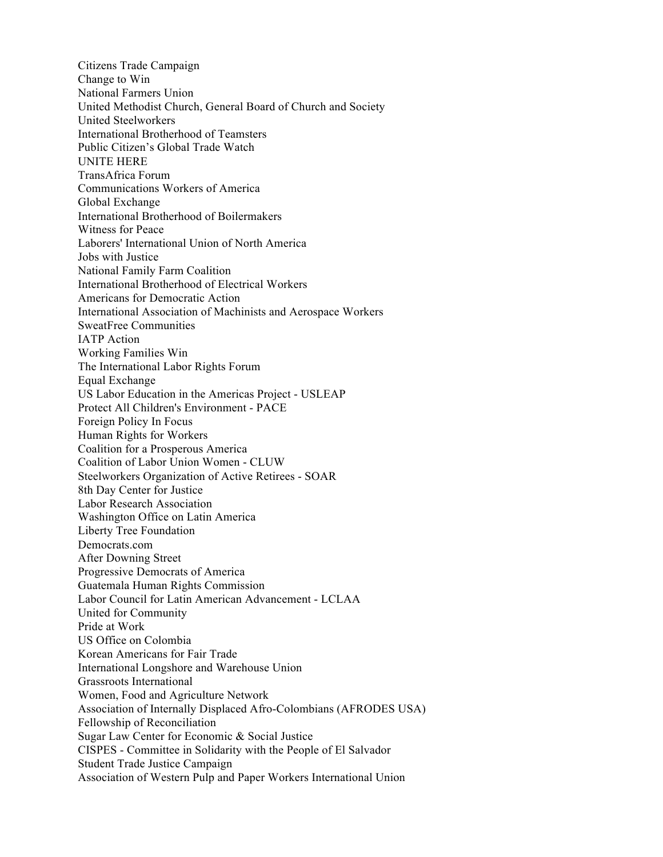Citizens Trade Campaign Change to Win National Farmers Union United Methodist Church, General Board of Church and Society United Steelworkers International Brotherhood of Teamsters Public Citizen's Global Trade Watch UNITE HERE TransAfrica Forum Communications Workers of America Global Exchange International Brotherhood of Boilermakers Witness for Peace Laborers' International Union of North America Jobs with Justice National Family Farm Coalition International Brotherhood of Electrical Workers Americans for Democratic Action International Association of Machinists and Aerospace Workers SweatFree Communities IATP Action Working Families Win The International Labor Rights Forum Equal Exchange US Labor Education in the Americas Project - USLEAP Protect All Children's Environment - PACE Foreign Policy In Focus Human Rights for Workers Coalition for a Prosperous America Coalition of Labor Union Women - CLUW Steelworkers Organization of Active Retirees - SOAR 8th Day Center for Justice Labor Research Association Washington Office on Latin America Liberty Tree Foundation Democrats.com After Downing Street Progressive Democrats of America Guatemala Human Rights Commission Labor Council for Latin American Advancement - LCLAA United for Community Pride at Work US Office on Colombia Korean Americans for Fair Trade International Longshore and Warehouse Union Grassroots International Women, Food and Agriculture Network Association of Internally Displaced Afro-Colombians (AFRODES USA) Fellowship of Reconciliation Sugar Law Center for Economic & Social Justice CISPES - Committee in Solidarity with the People of El Salvador Student Trade Justice Campaign Association of Western Pulp and Paper Workers International Union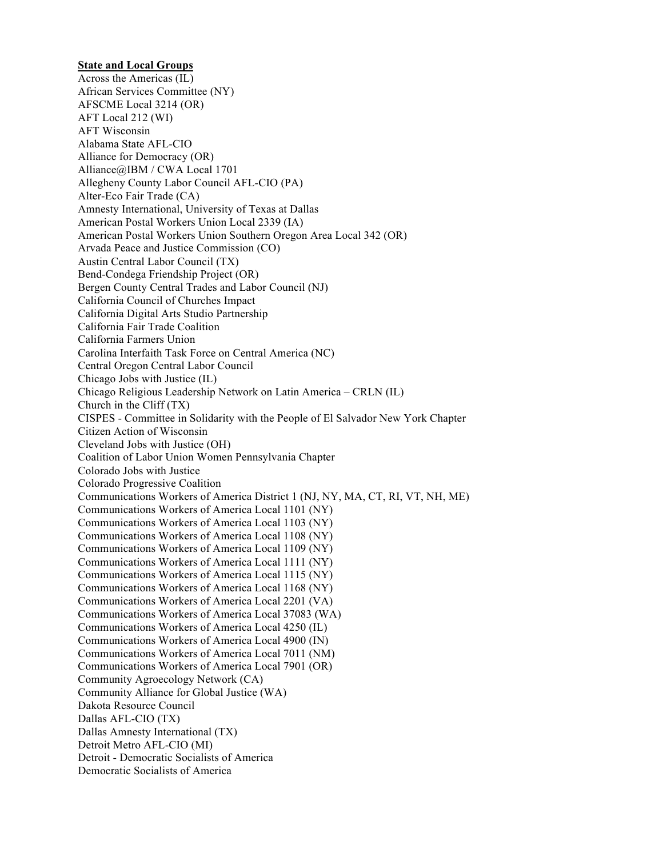## **State and Local Groups**

Across the Americas (IL) African Services Committee (NY) AFSCME Local 3214 (OR) AFT Local 212 (WI) AFT Wisconsin Alabama State AFL-CIO Alliance for Democracy (OR) Alliance@IBM / CWA Local 1701 Allegheny County Labor Council AFL-CIO (PA) Alter-Eco Fair Trade (CA) Amnesty International, University of Texas at Dallas American Postal Workers Union Local 2339 (IA) American Postal Workers Union Southern Oregon Area Local 342 (OR) Arvada Peace and Justice Commission (CO) Austin Central Labor Council (TX) Bend-Condega Friendship Project (OR) Bergen County Central Trades and Labor Council (NJ) California Council of Churches Impact California Digital Arts Studio Partnership California Fair Trade Coalition California Farmers Union Carolina Interfaith Task Force on Central America (NC) Central Oregon Central Labor Council Chicago Jobs with Justice (IL) Chicago Religious Leadership Network on Latin America – CRLN (IL) Church in the Cliff (TX) CISPES - Committee in Solidarity with the People of El Salvador New York Chapter Citizen Action of Wisconsin Cleveland Jobs with Justice (OH) Coalition of Labor Union Women Pennsylvania Chapter Colorado Jobs with Justice Colorado Progressive Coalition Communications Workers of America District 1 (NJ, NY, MA, CT, RI, VT, NH, ME) Communications Workers of America Local 1101 (NY) Communications Workers of America Local 1103 (NY) Communications Workers of America Local 1108 (NY) Communications Workers of America Local 1109 (NY) Communications Workers of America Local 1111 (NY) Communications Workers of America Local 1115 (NY) Communications Workers of America Local 1168 (NY) Communications Workers of America Local 2201 (VA) Communications Workers of America Local 37083 (WA) Communications Workers of America Local 4250 (IL) Communications Workers of America Local 4900 (IN) Communications Workers of America Local 7011 (NM) Communications Workers of America Local 7901 (OR) Community Agroecology Network (CA) Community Alliance for Global Justice (WA) Dakota Resource Council Dallas AFL-CIO (TX) Dallas Amnesty International (TX) Detroit Metro AFL-CIO (MI) Detroit - Democratic Socialists of America Democratic Socialists of America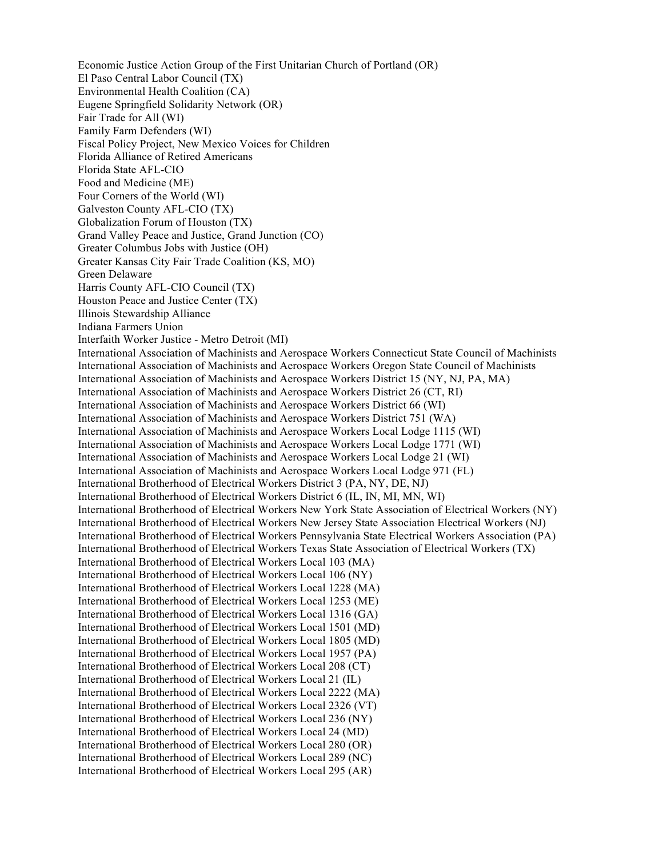Economic Justice Action Group of the First Unitarian Church of Portland (OR) El Paso Central Labor Council (TX) Environmental Health Coalition (CA) Eugene Springfield Solidarity Network (OR) Fair Trade for All (WI) Family Farm Defenders (WI) Fiscal Policy Project, New Mexico Voices for Children Florida Alliance of Retired Americans Florida State AFL-CIO Food and Medicine (ME) Four Corners of the World (WI) Galveston County AFL-CIO (TX) Globalization Forum of Houston (TX) Grand Valley Peace and Justice, Grand Junction (CO) Greater Columbus Jobs with Justice (OH) Greater Kansas City Fair Trade Coalition (KS, MO) Green Delaware Harris County AFL-CIO Council (TX) Houston Peace and Justice Center (TX) Illinois Stewardship Alliance Indiana Farmers Union Interfaith Worker Justice - Metro Detroit (MI) International Association of Machinists and Aerospace Workers Connecticut State Council of Machinists International Association of Machinists and Aerospace Workers Oregon State Council of Machinists International Association of Machinists and Aerospace Workers District 15 (NY, NJ, PA, MA) International Association of Machinists and Aerospace Workers District 26 (CT, RI) International Association of Machinists and Aerospace Workers District 66 (WI) International Association of Machinists and Aerospace Workers District 751 (WA) International Association of Machinists and Aerospace Workers Local Lodge 1115 (WI) International Association of Machinists and Aerospace Workers Local Lodge 1771 (WI) International Association of Machinists and Aerospace Workers Local Lodge 21 (WI) International Association of Machinists and Aerospace Workers Local Lodge 971 (FL) International Brotherhood of Electrical Workers District 3 (PA, NY, DE, NJ) International Brotherhood of Electrical Workers District 6 (IL, IN, MI, MN, WI) International Brotherhood of Electrical Workers New York State Association of Electrical Workers (NY) International Brotherhood of Electrical Workers New Jersey State Association Electrical Workers (NJ) International Brotherhood of Electrical Workers Pennsylvania State Electrical Workers Association (PA) International Brotherhood of Electrical Workers Texas State Association of Electrical Workers (TX) International Brotherhood of Electrical Workers Local 103 (MA) International Brotherhood of Electrical Workers Local 106 (NY) International Brotherhood of Electrical Workers Local 1228 (MA) International Brotherhood of Electrical Workers Local 1253 (ME) International Brotherhood of Electrical Workers Local 1316 (GA) International Brotherhood of Electrical Workers Local 1501 (MD) International Brotherhood of Electrical Workers Local 1805 (MD) International Brotherhood of Electrical Workers Local 1957 (PA) International Brotherhood of Electrical Workers Local 208 (CT) International Brotherhood of Electrical Workers Local 21 (IL) International Brotherhood of Electrical Workers Local 2222 (MA) International Brotherhood of Electrical Workers Local 2326 (VT) International Brotherhood of Electrical Workers Local 236 (NY) International Brotherhood of Electrical Workers Local 24 (MD) International Brotherhood of Electrical Workers Local 280 (OR) International Brotherhood of Electrical Workers Local 289 (NC) International Brotherhood of Electrical Workers Local 295 (AR)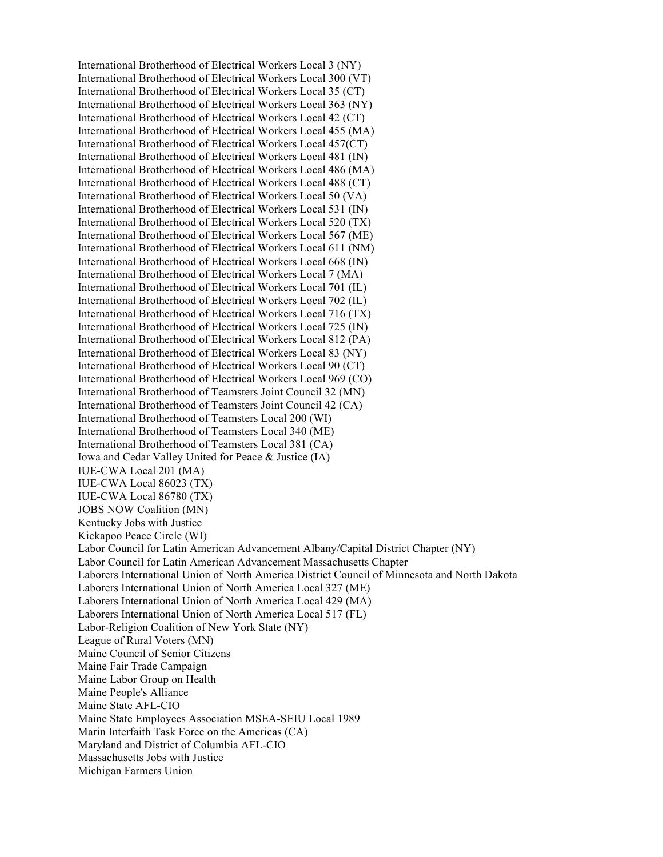International Brotherhood of Electrical Workers Local 3 (NY) International Brotherhood of Electrical Workers Local 300 (VT) International Brotherhood of Electrical Workers Local 35 (CT) International Brotherhood of Electrical Workers Local 363 (NY) International Brotherhood of Electrical Workers Local 42 (CT) International Brotherhood of Electrical Workers Local 455 (MA) International Brotherhood of Electrical Workers Local 457(CT) International Brotherhood of Electrical Workers Local 481 (IN) International Brotherhood of Electrical Workers Local 486 (MA) International Brotherhood of Electrical Workers Local 488 (CT) International Brotherhood of Electrical Workers Local 50 (VA) International Brotherhood of Electrical Workers Local 531 (IN) International Brotherhood of Electrical Workers Local 520 (TX) International Brotherhood of Electrical Workers Local 567 (ME) International Brotherhood of Electrical Workers Local 611 (NM) International Brotherhood of Electrical Workers Local 668 (IN) International Brotherhood of Electrical Workers Local 7 (MA) International Brotherhood of Electrical Workers Local 701 (IL) International Brotherhood of Electrical Workers Local 702 (IL) International Brotherhood of Electrical Workers Local 716 (TX) International Brotherhood of Electrical Workers Local 725 (IN) International Brotherhood of Electrical Workers Local 812 (PA) International Brotherhood of Electrical Workers Local 83 (NY) International Brotherhood of Electrical Workers Local 90 (CT) International Brotherhood of Electrical Workers Local 969 (CO) International Brotherhood of Teamsters Joint Council 32 (MN) International Brotherhood of Teamsters Joint Council 42 (CA) International Brotherhood of Teamsters Local 200 (WI) International Brotherhood of Teamsters Local 340 (ME) International Brotherhood of Teamsters Local 381 (CA) Iowa and Cedar Valley United for Peace & Justice (IA) IUE-CWA Local 201 (MA) IUE-CWA Local 86023 (TX) IUE-CWA Local 86780 (TX) JOBS NOW Coalition (MN) Kentucky Jobs with Justice Kickapoo Peace Circle (WI) Labor Council for Latin American Advancement Albany/Capital District Chapter (NY) Labor Council for Latin American Advancement Massachusetts Chapter Laborers International Union of North America District Council of Minnesota and North Dakota Laborers International Union of North America Local 327 (ME) Laborers International Union of North America Local 429 (MA) Laborers International Union of North America Local 517 (FL) Labor-Religion Coalition of New York State (NY) League of Rural Voters (MN) Maine Council of Senior Citizens Maine Fair Trade Campaign Maine Labor Group on Health Maine People's Alliance Maine State AFL-CIO Maine State Employees Association MSEA-SEIU Local 1989 Marin Interfaith Task Force on the Americas (CA) Maryland and District of Columbia AFL-CIO Massachusetts Jobs with Justice Michigan Farmers Union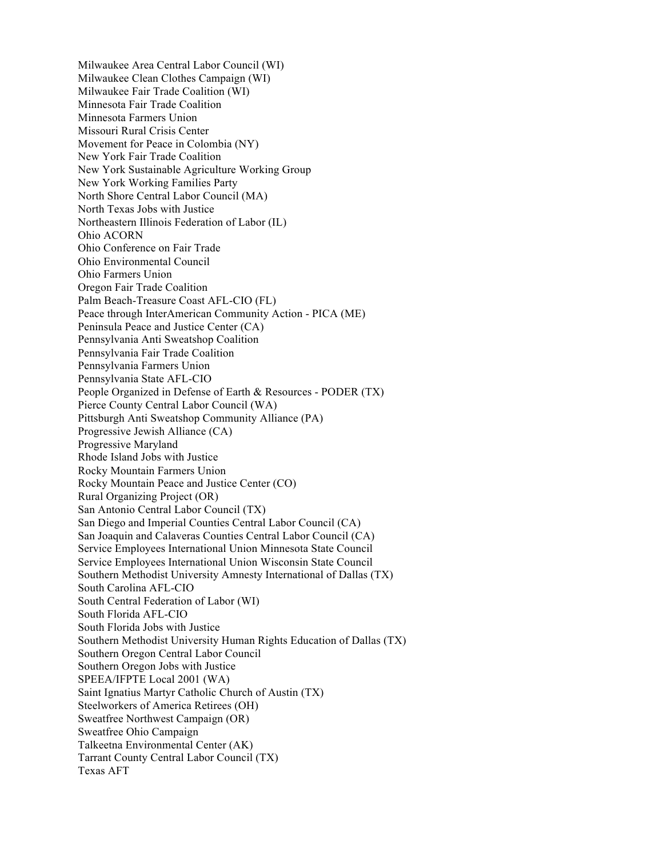Milwaukee Area Central Labor Council (WI) Milwaukee Clean Clothes Campaign (WI) Milwaukee Fair Trade Coalition (WI) Minnesota Fair Trade Coalition Minnesota Farmers Union Missouri Rural Crisis Center Movement for Peace in Colombia (NY) New York Fair Trade Coalition New York Sustainable Agriculture Working Group New York Working Families Party North Shore Central Labor Council (MA) North Texas Jobs with Justice Northeastern Illinois Federation of Labor (IL) Ohio ACORN Ohio Conference on Fair Trade Ohio Environmental Council Ohio Farmers Union Oregon Fair Trade Coalition Palm Beach-Treasure Coast AFL-CIO (FL) Peace through InterAmerican Community Action - PICA (ME) Peninsula Peace and Justice Center (CA) Pennsylvania Anti Sweatshop Coalition Pennsylvania Fair Trade Coalition Pennsylvania Farmers Union Pennsylvania State AFL-CIO People Organized in Defense of Earth & Resources - PODER (TX) Pierce County Central Labor Council (WA) Pittsburgh Anti Sweatshop Community Alliance (PA) Progressive Jewish Alliance (CA) Progressive Maryland Rhode Island Jobs with Justice Rocky Mountain Farmers Union Rocky Mountain Peace and Justice Center (CO) Rural Organizing Project (OR) San Antonio Central Labor Council (TX) San Diego and Imperial Counties Central Labor Council (CA) San Joaquin and Calaveras Counties Central Labor Council (CA) Service Employees International Union Minnesota State Council Service Employees International Union Wisconsin State Council Southern Methodist University Amnesty International of Dallas (TX) South Carolina AFL-CIO South Central Federation of Labor (WI) South Florida AFL-CIO South Florida Jobs with Justice Southern Methodist University Human Rights Education of Dallas (TX) Southern Oregon Central Labor Council Southern Oregon Jobs with Justice SPEEA/IFPTE Local 2001 (WA) Saint Ignatius Martyr Catholic Church of Austin (TX) Steelworkers of America Retirees (OH) Sweatfree Northwest Campaign (OR) Sweatfree Ohio Campaign Talkeetna Environmental Center (AK) Tarrant County Central Labor Council (TX) Texas AFT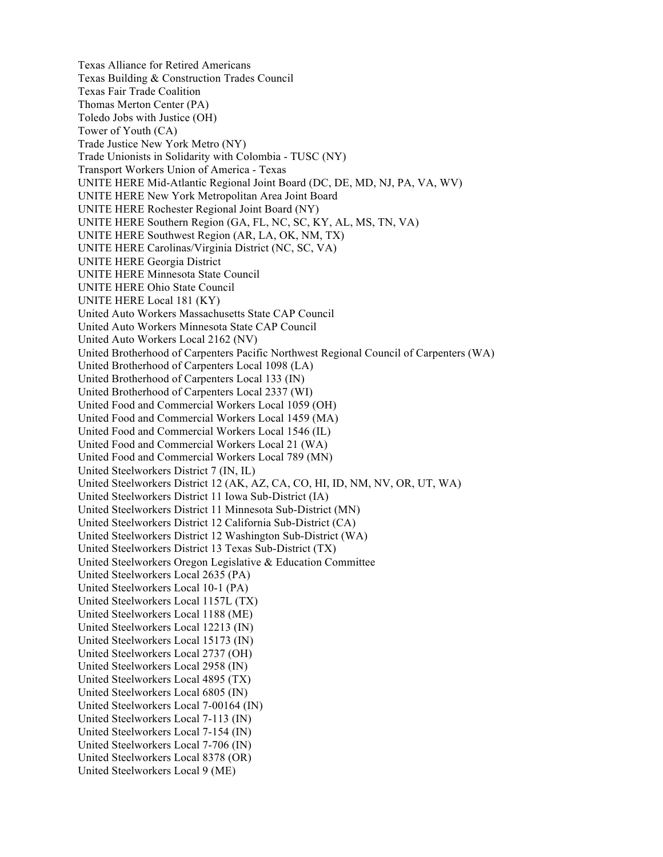Texas Alliance for Retired Americans Texas Building & Construction Trades Council Texas Fair Trade Coalition Thomas Merton Center (PA) Toledo Jobs with Justice (OH) Tower of Youth (CA) Trade Justice New York Metro (NY) Trade Unionists in Solidarity with Colombia - TUSC (NY) Transport Workers Union of America - Texas UNITE HERE Mid-Atlantic Regional Joint Board (DC, DE, MD, NJ, PA, VA, WV) UNITE HERE New York Metropolitan Area Joint Board UNITE HERE Rochester Regional Joint Board (NY) UNITE HERE Southern Region (GA, FL, NC, SC, KY, AL, MS, TN, VA) UNITE HERE Southwest Region (AR, LA, OK, NM, TX) UNITE HERE Carolinas/Virginia District (NC, SC, VA) UNITE HERE Georgia District UNITE HERE Minnesota State Council UNITE HERE Ohio State Council UNITE HERE Local 181 (KY) United Auto Workers Massachusetts State CAP Council United Auto Workers Minnesota State CAP Council United Auto Workers Local 2162 (NV) United Brotherhood of Carpenters Pacific Northwest Regional Council of Carpenters (WA) United Brotherhood of Carpenters Local 1098 (LA) United Brotherhood of Carpenters Local 133 (IN) United Brotherhood of Carpenters Local 2337 (WI) United Food and Commercial Workers Local 1059 (OH) United Food and Commercial Workers Local 1459 (MA) United Food and Commercial Workers Local 1546 (IL) United Food and Commercial Workers Local 21 (WA) United Food and Commercial Workers Local 789 (MN) United Steelworkers District 7 (IN, IL) United Steelworkers District 12 (AK, AZ, CA, CO, HI, ID, NM, NV, OR, UT, WA) United Steelworkers District 11 Iowa Sub-District (IA) United Steelworkers District 11 Minnesota Sub-District (MN) United Steelworkers District 12 California Sub-District (CA) United Steelworkers District 12 Washington Sub-District (WA) United Steelworkers District 13 Texas Sub-District (TX) United Steelworkers Oregon Legislative & Education Committee United Steelworkers Local 2635 (PA) United Steelworkers Local 10-1 (PA) United Steelworkers Local 1157L (TX) United Steelworkers Local 1188 (ME) United Steelworkers Local 12213 (IN) United Steelworkers Local 15173 (IN) United Steelworkers Local 2737 (OH) United Steelworkers Local 2958 (IN) United Steelworkers Local 4895 (TX) United Steelworkers Local 6805 (IN) United Steelworkers Local 7-00164 (IN) United Steelworkers Local 7-113 (IN) United Steelworkers Local 7-154 (IN) United Steelworkers Local 7-706 (IN) United Steelworkers Local 8378 (OR) United Steelworkers Local 9 (ME)